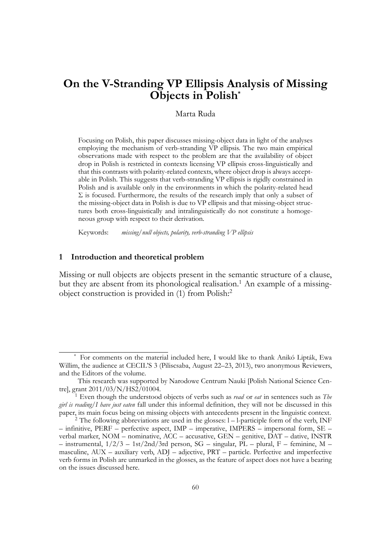# **On the V-Stranding VP Ellipsis Analysis of Missing Objects in Polish\***

# Marta Ruda

Focusing on Polish, this paper discusses missing-object data in light of the analyses employing the mechanism of verb-stranding VP ellipsis. The two main empirical observations made with respect to the problem are that the availability of object drop in Polish is restricted in contexts licensing VP ellipsis cross-linguistically and that this contrasts with polarity-related contexts, where object drop is always acceptable in Polish. This suggests that verb-stranding VP ellipsis is rigidly constrained in Polish and is available only in the environments in which the polarity-related head  $\Sigma$  is focused. Furthermore, the results of the research imply that only a subset of the missing-object data in Polish is due to VP ellipsis and that missing-object structures both cross-linguistically and intralinguistically do not constitute a homogeneous group with respect to their derivation.

Keywords: *missing/null objects, polarity, verb-stranding VP ellipsis*

## **1 Introduction and theoretical problem**

Missing or null objects are objects present in the semantic structure of a clause, but they are absent from its phonological realisation.<sup>1</sup> An example of a missingobject construction is provided in (1) from Polish:<sup>2</sup>

<sup>\*</sup> For comments on the material included here, I would like to thank Anikó Lipták, Ewa Willim, the audience at CECIL'S 3 (Piliscsaba, August 22–23, 2013), two anonymous Reviewers, and the Editors of the volume.

This research was supported by Narodowe Centrum Nauki [Polish National Science Centre], grant 2011/03/N/HS2/01004.

<sup>1</sup> Even though the understood objects of verbs such as *read* or *eat* in sentences such as *The girl is reading/I have just eaten* fall under this informal definition, they will not be discussed in this paper, its main focus being on missing objects with antecedents present in the linguistic context.

<sup>&</sup>lt;sup>2</sup> The following abbreviations are used in the glosses:  $1 - 1$ -participle form of the verb, INF  $-$  infinitive, PERF – perfective aspect, IMP – imperative, IMPERS – impersonal form, SE – verbal marker, NOM – nominative, ACC – accusative, GEN – genitive, DAT – dative, INSTR – instrumental, 1/2/3 – 1st/2nd/3rd person, SG – singular, PL – plural, F – feminine, M – masculine, AUX – auxiliary verb, ADJ – adjective, PRT – particle. Perfective and imperfective verb forms in Polish are unmarked in the glosses, as the feature of aspect does not have a bearing on the issues discussed here.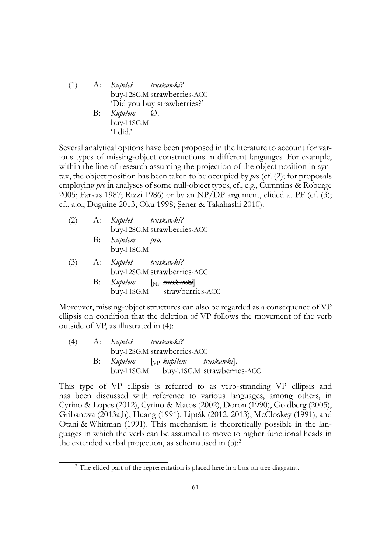(1) A: *Kupiłeś* buy-l.2SG.M strawberries-ACC *truskawki?* 'Did you buy strawberries?' B: *Kupiłem* buy-l.1SG.M Ø.

'I did.'

Several analytical options have been proposed in the literature to account for various types of missing-object constructions in different languages. For example, within the line of research assuming the projection of the object position in syntax, the object position has been taken to be occupied by *pro* (cf. (2); for proposals employing *pro* in analyses of some null-object types, cf., e.g., Cummins & Roberge 2005; Farkas 1987; Rizzi 1986) or by an NP/DP argument, elided at PF (cf. (3); cf., a.o., Duguine 2013; Oku 1998; Şener & Takahashi 2010):

| (2) | A:       | Kupiłeś truskawki?           |  |
|-----|----------|------------------------------|--|
|     |          | buy-l.2SG.M strawberries-ACC |  |
|     | B:       | Kupiłem pro.                 |  |
|     |          | buy-l.1SG.M                  |  |
|     | $(3)$ A: | Kupiłeś truskawki?           |  |
|     |          | buy-l.2SG.M strawberries-ACC |  |

B: *Kupiłem* buy-l.1SG.M strawberries-ACC [NP *truskawki*].

Moreover, missing-object structures can also be regarded as a consequence of VP ellipsis on condition that the deletion of VP follows the movement of the verb outside of VP, as illustrated in (4):

| (4) | A: Kupiłeś truskawki? |                                                |                                          |
|-----|-----------------------|------------------------------------------------|------------------------------------------|
|     |                       | buy-l.2SG.M strawberries-ACC                   |                                          |
|     |                       | B: Kupiłem [ <sub>VP</sub> kupiłem truskawki]. |                                          |
|     |                       |                                                | buy-l.1SG.M buy-l.1SG.M strawberries-ACC |

This type of VP ellipsis is referred to as verb-stranding VP ellipsis and has been discussed with reference to various languages, among others, in Cyrino & Lopes (2012), Cyrino & Matos (2002), Doron (1990), Goldberg (2005), Gribanova (2013a,b), Huang (1991), Lipták (2012, 2013), McCloskey (1991), and Otani & Whitman (1991). This mechanism is theoretically possible in the languages in which the verb can be assumed to move to higher functional heads in the extended verbal projection, as schematised in  $(5)$ :<sup>3</sup>

<sup>&</sup>lt;sup>3</sup> The elided part of the representation is placed here in a box on tree diagrams.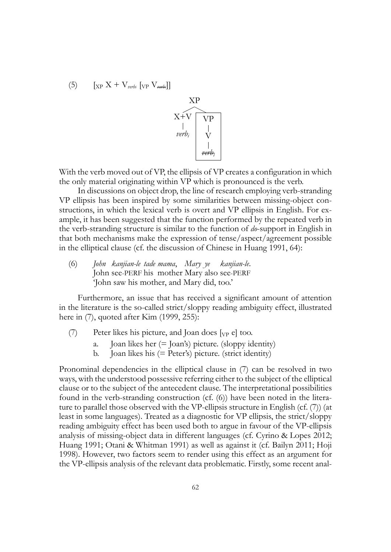$$
(5) \qquad [\text{xp } X + V_{\text{verbi}} \left[ \text{vp } V_{\text{verbi}} \right]]
$$



With the verb moved out of VP, the ellipsis of VP creates a configuration in which the only material originating within VP which is pronounced is the verb.

In discussions on object drop, the line of research employing verb-stranding VP ellipsis has been inspired by some similarities between missing-object constructions, in which the lexical verb is overt and VP ellipsis in English. For example, it has been suggested that the function performed by the repeated verb in the verb-stranding structure is similar to the function of *do*-support in English in that both mechanisms make the expression of tense/aspect/agreement possible in the elliptical clause (cf. the discussion of Chinese in Huang 1991, 64):

(6) *John kanjian-le tade mama*, *Mary ye kanjian-le*. John see-PERF his mother Mary also see-PERF 'John saw his mother, and Mary did, too.'

Furthermore, an issue that has received a significant amount of attention in the literature is the so-called strict/sloppy reading ambiguity effect, illustrated here in (7), quoted after Kim (1999, 255):

- (7) Peter likes his picture, and Joan does  $[y_P e]$  too.
	- Joan likes her  $(=\bar{\chi})$  picture. (sloppy identity)
	- b. Joan likes his (= Peter's) picture. (strict identity)

Pronominal dependencies in the elliptical clause in (7) can be resolved in two ways, with the understood possessive referring either to the subject of the elliptical clause or to the subject of the antecedent clause. The interpretational possibilities found in the verb-stranding construction (cf. (6)) have been noted in the literature to parallel those observed with the VP-ellipsis structure in English (cf. (7)) (at least in some languages). Treated as a diagnostic for VP ellipsis, the strict/sloppy reading ambiguity effect has been used both to argue in favour of the VP-ellipsis analysis of missing-object data in different languages (cf. Cyrino & Lopes 2012; Huang 1991; Otani & Whitman 1991) as well as against it (cf. Bailyn 2011; Hoji 1998). However, two factors seem to render using this effect as an argument for the VP-ellipsis analysis of the relevant data problematic. Firstly, some recent anal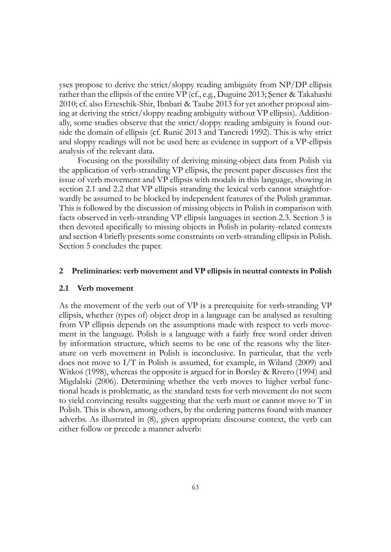yses propose to derive the strict/sloppy reading ambiguity from NP/DP ellipsis rather than the ellipsis of the entire VP (cf., e.g., Duguine 2013; Şener & Takahashi 2010; cf. also Erteschik-Shir, Ibnbari & Taube 2013 for yet another proposal aiming at deriving the strict/sloppy reading ambiguity without VP ellipsis). Additionally, some studies observe that the strict/sloppy reading ambiguity is found outside the domain of ellipsis (cf. Runić 2013 and Tancredi 1992). This is why strict and sloppy readings will not be used here as evidence in support of a VP-ellipsis analysis of the relevant data.

Focusing on the possibility of deriving missing-object data from Polish via the application of verb-stranding VP ellipsis, the present paper discusses first the issue of verb movement and VP ellipsis with modals in this language, showing in section 2.1 and 2.2 that VP ellipsis stranding the lexical verb cannot straightforwardly be assumed to be blocked by independent features of the Polish grammar. This is followed by the discussion of missing objects in Polish in comparison with facts observed in verb-stranding VP ellipsis languages in section 2.3. Section 3 is then devoted specifically to missing objects in Polish in polarity-related contexts and section 4 briefly presents some constraints on verb-stranding ellipsis in Polish. Section 5 concludes the paper.

## **2 Preliminaries: verb movement and VP ellipsis in neutral contexts in Polish**

#### **2.1 Verb movement**

As the movement of the verb out of VP is a prerequisite for verb-stranding VP ellipsis, whether (types of) object drop in a language can be analysed as resulting from VP ellipsis depends on the assumptions made with respect to verb movement in the language. Polish is a language with a fairly free word order driven by information structure, which seems to be one of the reasons why the literature on verb movement in Polish is inconclusive. In particular, that the verb does not move to I/T in Polish is assumed, for example, in Wiland (2009) and Witkoś (1998), whereas the opposite is argued for in Borsley & Rivero (1994) and Migdalski (2006). Determining whether the verb moves to higher verbal functional heads is problematic, as the standard tests for verb movement do not seem to yield convincing results suggesting that the verb must or cannot move to T in Polish. This is shown, among others, by the ordering patterns found with manner adverbs. As illustrated in (8), given appropriate discourse context, the verb can either follow or precede a manner adverb: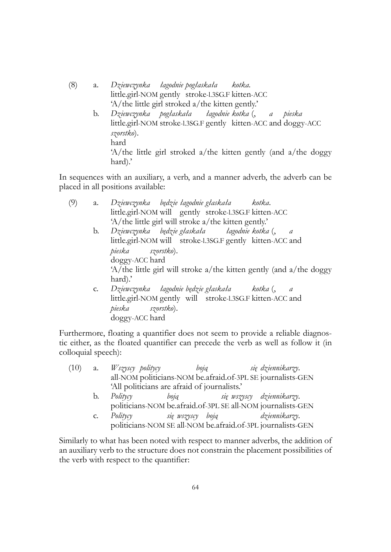- (8) a. *Dziewczynka łagodnie pogłaskała* little.girl-NOM gently stroke-l.3SG.F kitten-ACC *kotka.* 'A/the little girl stroked a/the kitten gently.'
	- b. *Dziewczynka pogłaskała* little.girl-NOM stroke-l.3SG.F gently kitten-ACC and doggy-ACC *łagodnie kotka* (, *a pieska szorstko*). hard 'A/the little girl stroked a/the kitten gently (and a/the doggy hard).'

In sequences with an auxiliary, a verb, and a manner adverb, the adverb can be placed in all positions available:

| a. Dziewczynka będzie łagodnie głaskała kotka.            |                                                                       |
|-----------------------------------------------------------|-----------------------------------------------------------------------|
| little.girl-NOM will gently stroke-1.3SG.F kitten-ACC     |                                                                       |
| 'A/the little girl will stroke a/the kitten gently.'      |                                                                       |
| b. Dziewczynka będzie_głaskała łagodnie_kotka(,           |                                                                       |
| little.girl-NOM will stroke-1.3SG.F gently kitten-ACC and |                                                                       |
|                                                           |                                                                       |
| doggy-ACC hard                                            |                                                                       |
|                                                           | $A$ /the little girl will stroke a/the kitten gently (and a/the doggy |
|                                                           |                                                                       |
| c. Dziewczynka łagodnie będzie głaskała kotka (,          | a                                                                     |
| little.girl-NOM gently will stroke-1.3SG.F kitten-ACC and |                                                                       |
| pieska szorstko).                                         |                                                                       |
|                                                           |                                                                       |
|                                                           | pieska szorstko).<br>doggy-ACC hard                                   |

Furthermore, floating a quantifier does not seem to provide a reliable diagnostic either, as the floated quantifier can precede the verb as well as follow it (in colloquial speech):

- (10) a. *Wszyscy politycy* all-NOM politicians-NOM be.afraid.of-3PL SE journalists-GEN *boją się dziennikarzy*. 'All politicians are afraid of journalists.'
	- b. *Politycy* politicians-NOM be.afraid.of-3PL SE all-NOM journalists-GEN *boją się wszyscy dziennikarzy*.
	- c. *Politycy* politicians-NOM SE all-NOM be.afraid.of-3PL journalists-GEN *się wszyscy boją dziennikarzy*.

Similarly to what has been noted with respect to manner adverbs, the addition of an auxiliary verb to the structure does not constrain the placement possibilities of the verb with respect to the quantifier: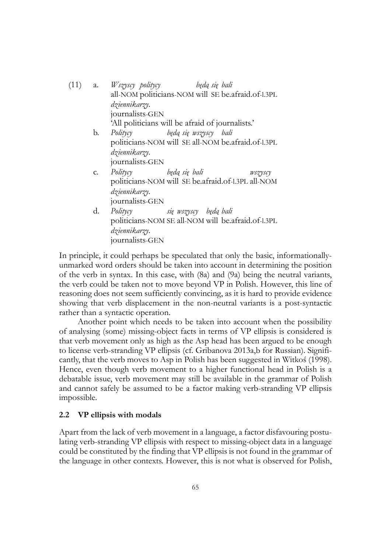| (11) |    | będą się bali<br>a. <i>Wszyscy politycy</i>          |
|------|----|------------------------------------------------------|
|      |    | all-NOM politicians-NOM will SE be afraid of -1.3PL  |
|      |    | dziennikarzy.                                        |
|      |    | journalists-GEN                                      |
|      |    | 'All politicians will be afraid of journalists.'     |
|      | b. | będą się wszyscy bali<br>Politycy                    |
|      |    | politicians-NOM will SE all-NOM be a fraid of -1.3PL |
|      |    | dziennikarzy.                                        |
|      |    | journalists-GEN                                      |
|      | C. | Politycy będą się bali<br>wszyscy                    |
|      |    | politicians-NOM will SE be afraid of -1.3PL all-NOM  |
|      |    | dziennikarzy.                                        |
|      |    | journalists-GEN                                      |
|      | d. | Politycy się wszyscy będą bali                       |
|      |    | politicians-NOM SE all-NOM will be afraid of-1.3PL   |
|      |    | dziennikarzy.                                        |
|      |    | journalists-GEN                                      |

In principle, it could perhaps be speculated that only the basic, informationallyunmarked word orders should be taken into account in determining the position of the verb in syntax. In this case, with (8a) and (9a) being the neutral variants, the verb could be taken not to move beyond VP in Polish. However, this line of reasoning does not seem sufficiently convincing, as it is hard to provide evidence showing that verb displacement in the non-neutral variants is a post-syntactic rather than a syntactic operation.

Another point which needs to be taken into account when the possibility of analysing (some) missing-object facts in terms of VP ellipsis is considered is that verb movement only as high as the Asp head has been argued to be enough to license verb-stranding VP ellipsis (cf. Gribanova 2013a,b for Russian). Significantly, that the verb moves to Asp in Polish has been suggested in Witkoś (1998). Hence, even though verb movement to a higher functional head in Polish is a debatable issue, verb movement may still be available in the grammar of Polish and cannot safely be assumed to be a factor making verb-stranding VP ellipsis impossible.

#### **2.2 VP ellipsis with modals**

Apart from the lack of verb movement in a language, a factor disfavouring postulating verb-stranding VP ellipsis with respect to missing-object data in a language could be constituted by the finding that VP ellipsis is not found in the grammar of the language in other contexts. However, this is not what is observed for Polish,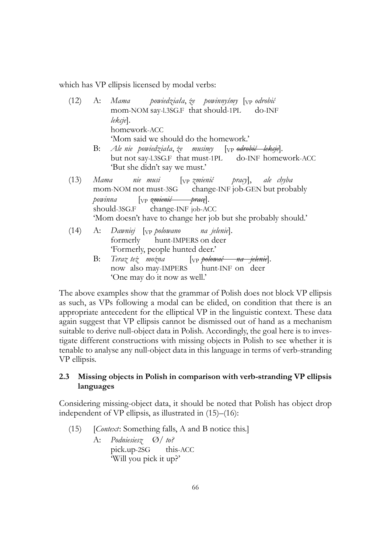which has VP ellipsis licensed by modal verbs:

|      | (12) A: Mama   powiedziała, że powinnyśmy [ <sub>VP</sub> odrobić              |
|------|--------------------------------------------------------------------------------|
|      | mom-NOM say-l.3SG.F that should-1PL do-INF                                     |
|      | lekcje.                                                                        |
|      | homework-ACC                                                                   |
|      | 'Mom said we should do the homework.'                                          |
|      | B: Ale nie powiedziała, że musimy [ <sub>VP</sub> <del>odrobić lekcje</del> ]. |
|      | but not say-l.3SG.F that must-1PL do-INF homework-ACC                          |
|      | 'But she didn't say we must.'                                                  |
| (13) | Mama nie musi [ <sub>VP</sub> zmienić pracy], ale chyba                        |
|      | mom-NOM not must-3SG change-INF job-GEN but probably                           |
|      | powinna [ <sub>VP</sub> zmienić prace].                                        |
|      | should-3SG.F change-INF job-ACC                                                |
|      | 'Mom doesn't have to change her job but she probably should.'                  |
| (14) | A: Dawniej [ <sub>VP</sub> polowano na jelenie].                               |
|      | formerly hunt-IMPERS on deer                                                   |
|      | 'Formerly, people hunted deer.'                                                |
|      |                                                                                |

B: *Teraz też można* now also may-IMPERS hunt-INF on deer [VP *polować na jelenie*]. 'One may do it now as well.'

The above examples show that the grammar of Polish does not block VP ellipsis as such, as VPs following a modal can be elided, on condition that there is an appropriate antecedent for the elliptical VP in the linguistic context. These data again suggest that VP ellipsis cannot be dismissed out of hand as a mechanism suitable to derive null-object data in Polish. Accordingly, the goal here is to investigate different constructions with missing objects in Polish to see whether it is tenable to analyse any null-object data in this language in terms of verb-stranding VP ellipsis.

# **2.3 Missing objects in Polish in comparison with verb-stranding VP ellipsis languages**

Considering missing-object data, it should be noted that Polish has object drop independent of VP ellipsis, as illustrated in (15)–(16):

- (15) [*Context*: Something falls, A and B notice this.]
	- A: *Podniesiesz* Ø/ *to?* pick.up-2SG this-ACC 'Will you pick it up?'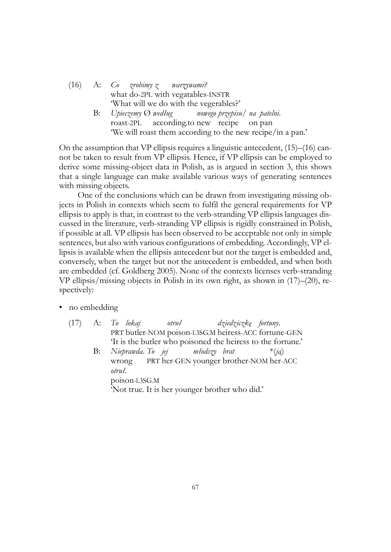|  | $(16)$ A: Co zrobimy z warzywami?                              |
|--|----------------------------------------------------------------|
|  | what do-2PL with vegatables-INSTR                              |
|  | "What will we do with the vegerables?"                         |
|  | $B:$ Upieczemy $\emptyset$ według nowego przepisu/ na patelni. |
|  | roast-2PL according to new recipe on pan                       |
|  | 'We will roast them according to the new recipe/in a pan.'     |

On the assumption that VP ellipsis requires a linguistic antecedent, (15)–(16) cannot be taken to result from VP ellipsis. Hence, if VP ellipsis can be employed to derive some missing-object data in Polish, as is argued in section 3, this shows that a single language can make available various ways of generating sentences with missing objects.

One of the conclusions which can be drawn from investigating missing objects in Polish in contexts which seem to fulfil the general requirements for VP ellipsis to apply is that, in contrast to the verb-stranding VP ellipsis languages discussed in the literature, verb-stranding VP ellipsis is rigidly constrained in Polish, if possible at all. VP ellipsis has been observed to be acceptable not only in simple sentences, but also with various configurations of embedding. Accordingly, VP ellipsis is available when the ellipsis antecedent but not the target is embedded and, conversely, when the target but not the antecedent is embedded, and when both are embedded (cf. Goldberg 2005). None of the contexts licenses verb-stranding VP ellipsis/missing objects in Polish in its own right, as shown in (17)–(20), respectively:

- no embedding
	- $(17)$  A: PRT butler-NOM poison-l.3SG.M heiress-ACC fortune-GEN *lokaj otruł dziedziczkę fortuny*. 'It is the butler who poisoned the heiress to the fortune.' B: *Nieprawda*. *To jej* wrong PRT her-GEN younger brother-NOM her-ACC *młodszy brat* \*(*ją*) *otruł*. poison-l.3SG.M 'Not true. It is her younger brother who did.'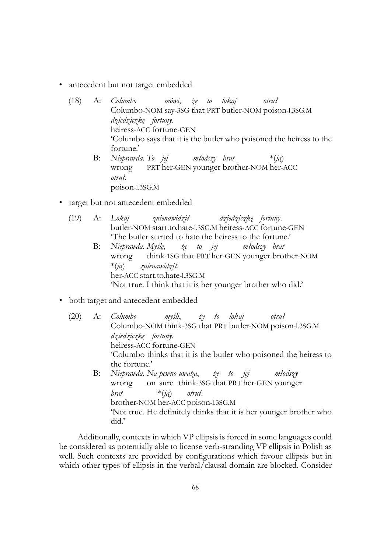- antecedent but not target embedded
	- (18) A: *Columbo* Columbo-NOM say-3SG that PRT butler-NOM poison-l.3SG.M *mówi*, *że to lokaj otruł dziedziczkę fortuny*. heiress-ACC fortune-GEN 'Columbo says that it is the butler who poisoned the heiress to the fortune.' B: *Nieprawda*. *To jej* wrong PRT her-GEN younger brother-NOM her-ACC *młodszy brat* \*(*ją*)
		- *otruł*. poison-l.3SG.M
- target but not antecedent embedded
	- (19) A: *Lokaj* butler-NOM start.to.hate-l.3SG.M heiress-ACC fortune-GEN *znienawidził dziedziczkę fortuny*. 'The butler started to hate the heiress to the fortune.'
		- B: *Nieprawda*. *Myślę*, wrong think-1SG that PRT her-GEN younger brother-NOM *że to jej młodszy brat* \*(*ją*) her-ACC start.to.hate-l.3SG.M *znienawidził*. 'Not true. I think that it is her younger brother who did.'
- both target and antecedent embedded
	- (20) A: *Columbo* Columbo-NOM think-3SG that PRT butler-NOM poison-l.3SG.M *myśli*, *że to lokaj otruł dziedziczkę fortuny*. heiress-ACC fortune-GEN 'Columbo thinks that it is the butler who poisoned the heiress to the fortune.' B: *Nieprawda*. *Na pewno uważa*, *że to jej* wrong on sure think-3SG that PRT her-GEN younger *młodszy brat* brother-NOM her-ACC poison-l.3SG.M \*(*ją*) *otruł*. 'Not true. He definitely thinks that it is her younger brother who did.'

Additionally, contexts in which VP ellipsis is forced in some languages could be considered as potentially able to license verb-stranding VP ellipsis in Polish as well. Such contexts are provided by configurations which favour ellipsis but in which other types of ellipsis in the verbal/clausal domain are blocked. Consider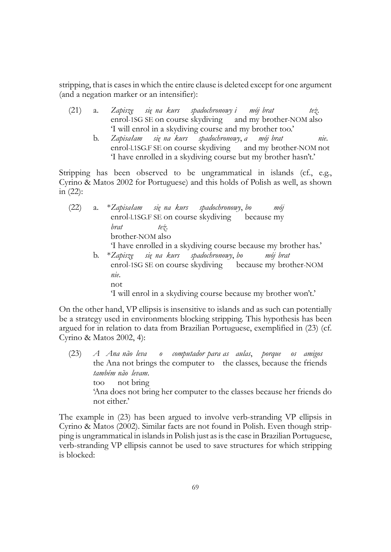stripping, that is cases in which the entire clause is deleted except for one argument (and a negation marker or an intensifier):

- (21) a. *Zapiszę* enrol-1SG SE on course skydiving *się na kurs spadochronowy i* and my brother-NOM also *mój brat też*. 'I will enrol in a skydiving course and my brother too.'
	- b. *Zapisałam* enrol-l.1SG.F SE on course skydiving *się na kurs spadochronowy*, *a* and my brother-NOM not *mój brat nie*. 'I have enrolled in a skydiving course but my brother hasn't.'

Stripping has been observed to be ungrammatical in islands (cf., e.g., Cyrino & Matos 2002 for Portuguese) and this holds of Polish as well, as shown in (22):

| (22) | a. | *Zapisałam się na kurs spadochronowy, bo<br>mój                |
|------|----|----------------------------------------------------------------|
|      |    | enrol-l.1SG.F SE on course skydiving because my                |
|      |    | brat<br>$te\dot{z}$ .                                          |
|      |    | brother-NOM also                                               |
|      |    | Thave enrolled in a skydiving course because my brother has.'  |
|      |    | b. *Zapiszę się na kurs spadochronowy, bo mój brat             |
|      |    | enrol-1SG SE on course skydiving because my brother-NOM        |
|      |    | nie.                                                           |
|      |    | not                                                            |
|      |    | 'I will enrol in a skydiving course because my brother won't.' |

On the other hand, VP ellipsis is insensitive to islands and as such can potentially be a strategy used in environments blocking stripping. This hypothesis has been argued for in relation to data from Brazilian Portuguese, exemplified in (23) (cf. Cyrino & Matos 2002, 4):

 $(23)$ the Ana not brings the computer to the classes, because the friends *Ana não leva o computador para as aulas*, *porque os amigos também não levam*. too not bring 'Ana does not bring her computer to the classes because her friends do not either.'

The example in (23) has been argued to involve verb-stranding VP ellipsis in Cyrino & Matos (2002). Similar facts are not found in Polish. Even though stripping is ungrammatical in islands in Polish just as is the case in Brazilian Portuguese, verb-stranding VP ellipsis cannot be used to save structures for which stripping is blocked: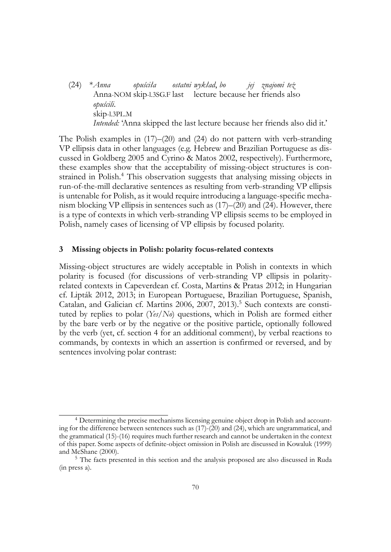(24) \**Anna* Anna-NOM skip-l.3SG.F last lecture because her friends also *opuściła ostatni wykład*, *bo jej znajomi też opuścili*. skip-l.3PL.M *Intended:* 'Anna skipped the last lecture because her friends also did it.'

The Polish examples in (17)–(20) and (24) do not pattern with verb-stranding VP ellipsis data in other languages (e.g. Hebrew and Brazilian Portuguese as discussed in Goldberg 2005 and Cyrino & Matos 2002, respectively). Furthermore, these examples show that the acceptability of missing-object structures is constrained in Polish.<sup>4</sup> This observation suggests that analysing missing objects in run-of-the-mill declarative sentences as resulting from verb-stranding VP ellipsis is untenable for Polish, as it would require introducing a language-specific mechanism blocking VP ellipsis in sentences such as (17)–(20) and (24). However, there is a type of contexts in which verb-stranding VP ellipsis seems to be employed in Polish, namely cases of licensing of VP ellipsis by focused polarity.

#### **3 Missing objects in Polish: polarity focus-related contexts**

Missing-object structures are widely acceptable in Polish in contexts in which polarity is focused (for discussions of verb-stranding VP ellipsis in polarityrelated contexts in Capeverdean cf. Costa, Martins & Pratas 2012; in Hungarian cf. Lipták 2012, 2013; in European Portuguese, Brazilian Portuguese, Spanish, Catalan, and Galician cf. Martins 2006, 2007, 2013).<sup>5</sup> Such contexts are constituted by replies to polar (*Yes/No*) questions, which in Polish are formed either by the bare verb or by the negative or the positive particle, optionally followed by the verb (yet, cf. section 4 for an additional comment), by verbal reactions to commands, by contexts in which an assertion is confirmed or reversed, and by sentences involving polar contrast:

<sup>4</sup> Determining the precise mechanisms licensing genuine object drop in Polish and accounting for the difference between sentences such as (17)-(20) and (24), which are ungrammatical, and the grammatical (15)-(16) requires much further research and cannot be undertaken in the context of this paper. Some aspects of definite-object omission in Polish are discussed in Kowaluk (1999) and McShane (2000).

<sup>5</sup> The facts presented in this section and the analysis proposed are also discussed in Ruda (in press a).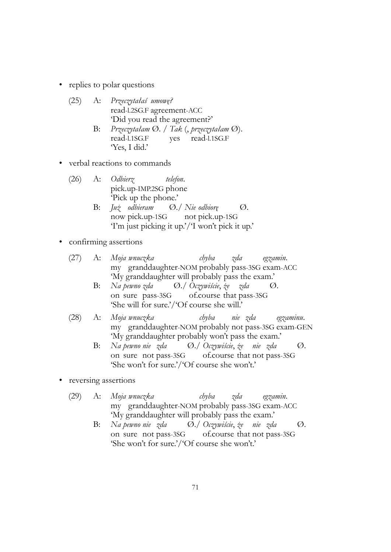• replies to polar questions

| (25) | A: Przeczytałaś umowę?                    |
|------|-------------------------------------------|
|      | read-l.2SG.F agreement-ACC                |
|      | 'Did you read the agreement?'             |
|      | – Przeczytałam Ø. / Tak (, przeczytałam Q |

- read-l.1SG.F yes read-l.1SG.F Ø). 'Yes, I did.'
- verbal reactions to commands
	- (26) A: *Odbierz* pick.up-IMP.2SG phone *telefon*. 'Pick up the phone.'
		- B: *Już odbieram* now pick.up-1SG Ø./ *Nie odbiorę* not pick.up-1SG  $\varnothing$ . 'I'm just picking it up.'/'I won't pick it up.'

# • confirming assertions

- (27) A: *Moja wnuczka* my granddaughter-NOM probably pass-3SG exam-ACC *chyba zda egzamin*. 'My granddaughter will probably pass the exam.'
	- B: *Na pewno zda* on sure pass-3SG Ø./ *Oczywiście*, *że* of.course that pass-3SG *zda* Ø. 'She will for sure.'/'Of course she will.'
- (28) A: *Moja wnuczka* my granddaughter-NOM probably not pass-3SG exam-GEN *chyba nie zda egzaminu*. 'My granddaughter probably won't pass the exam.'
	- B: *Na pewno nie zda* on sure not pass-3SG Ø./ *Oczywiście*, *że nie zda* of.course that not pass-3SG Ø. 'She won't for sure.'/'Of course she won't.'
- reversing assertions
	- (29) A: *Moja wnuczka* my granddaughter-NOM probably pass-3SG exam-ACC *chyba zda egzamin*. 'My granddaughter will probably pass the exam.'
		- B: *Na pewno nie zda* on sure not pass-3SG Ø./ *Oczywiście*, *że nie zda* of.course that not pass-3SG Ø. 'She won't for sure.'/'Of course she won't.'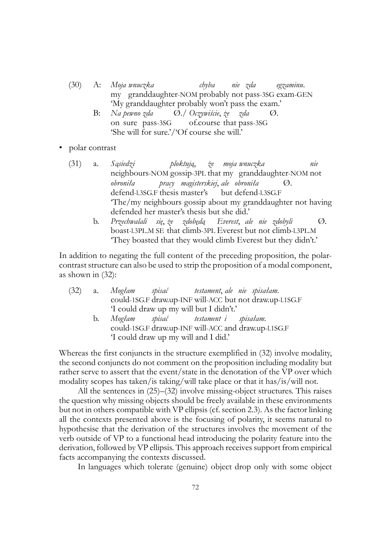- (30) A: *Moja wnuczka* my granddaughter-NOM probably not pass-3SG exam-GEN *chyba nie zda egzaminu*. 'My granddaughter probably won't pass the exam.'
	- B: *Na pewno zda* on sure pass-3SG Ø./ *Oczywiście*, *że* of.course that pass-3SG *zda*  $\varnothing$ . 'She will for sure.'/'Of course she will.'
- polar contrast
	- (31) a. *Sąsiedzi* neighbours-NOM gossip-3PL that my granddaughter-NOM not *ploktują*, *że moja wnuczka nie obroniła* defend-l.3SG.F thesis master's *pracy magisterskiej*, *ale obroniła* but defend-l.3SG.F Ø. 'The/my neighbours gossip about my granddaughter not having defended her master's thesis but she did.'
		- b. *Przechwalali* boast-l.3PL.M SE that climb-3PL Everest but not climb-l.3PL.M *się*, *że zdobędą Everest*, *ale nie zdobyli*  $\varnothing$ . 'They boasted that they would climb Everest but they didn't.'

In addition to negating the full content of the preceding proposition, the polarcontrast structure can also be used to strip the proposition of a modal component, as shown in (32):

|    | (32) a. Mogłam spisać testament, ale nie spisałam.       |
|----|----------------------------------------------------------|
|    | could-1SG.F draw.up-INF will-ACC but not draw.up-l.1SG.F |
|    | 'I could draw up my will but I didn't.'                  |
| b. | Mogłam spisać – testament i spisałam.                    |
|    | could-1SG.F draw.up-INF will-ACC and draw.up-1.1SG.F     |
|    | 'I could draw up my will and I did.'                     |

Whereas the first conjuncts in the structure exemplified in (32) involve modality, the second conjuncts do not comment on the proposition including modality but rather serve to assert that the event/state in the denotation of the VP over which modality scopes has taken/is taking/will take place or that it has/is/will not.

All the sentences in (25)–(32) involve missing-object structures. This raises the question why missing objects should be freely available in these environments but not in others compatible with VP ellipsis (cf. section 2.3). As the factor linking all the contexts presented above is the focusing of polarity, it seems natural to hypothesise that the derivation of the structures involves the movement of the verb outside of VP to a functional head introducing the polarity feature into the derivation, followed by VP ellipsis. This approach receives support from empirical facts accompanying the contexts discussed.

In languages which tolerate (genuine) object drop only with some object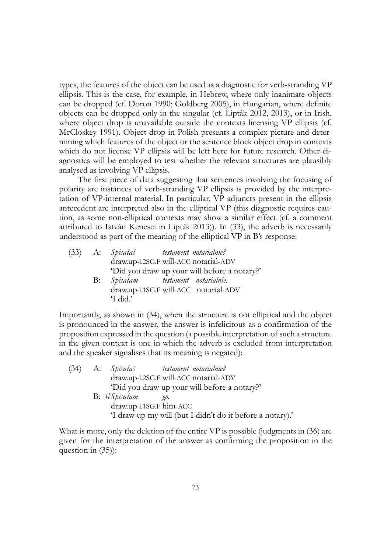types, the features of the object can be used as a diagnostic for verb-stranding VP ellipsis. This is the case, for example, in Hebrew, where only inanimate objects can be dropped (cf. Doron 1990; Goldberg 2005), in Hungarian, where definite objects can be dropped only in the singular (cf. Lipták 2012, 2013), or in Irish, where object drop is unavailable outside the contexts licensing VP ellipsis (cf. McCloskey 1991). Object drop in Polish presents a complex picture and determining which features of the object or the sentence block object drop in contexts which do not license VP ellipsis will be left here for future research. Other diagnostics will be employed to test whether the relevant structures are plausibly analysed as involving VP ellipsis.

The first piece of data suggesting that sentences involving the focusing of polarity are instances of verb-stranding VP ellipsis is provided by the interpretation of VP-internal material. In particular, VP adjuncts present in the ellipsis antecedent are interpreted also in the elliptical VP (this diagnostic requires caution, as some non-elliptical contexts may show a similar effect (cf. a comment attributed to István Kenesei in Lipták 2013)). In (33), the adverb is necessarily understood as part of the meaning of the elliptical VP in B's response:

|            | (33) A: Spisałaś testament notarialnie?                     |
|------------|-------------------------------------------------------------|
|            | draw.up-1.2SG.F will-ACC notarial-ADV                       |
|            | 'Did you draw up your will before a notary?'                |
| <b>B</b> : | Spisałam <del>testament notarialnie</del> .                 |
|            | draw.up-l.1SG.F will-ACC notarial-ADV<br>$\mathrm{4}$ did.' |
|            |                                                             |

Importantly, as shown in (34), when the structure is not elliptical and the object is pronounced in the answer, the answer is infelicitous as a confirmation of the proposition expressed in the question (a possible interpretation of such a structure in the given context is one in which the adverb is excluded from interpretation and the speaker signalises that its meaning is negated):

|  |              | (34) A: Spisałaś testament notarialnie?                   |
|--|--------------|-----------------------------------------------------------|
|  |              | draw.up-1.2SG.F will-ACC notarial-ADV                     |
|  |              | 'Did you draw up your will before a notary?'              |
|  | B: #Spisałam | go.                                                       |
|  |              | draw.up-1.1SG.F him-ACC                                   |
|  |              | 'I draw up my will (but I didn't do it before a notary).' |

What is more, only the deletion of the entire VP is possible (judgments in  $(36)$ ) are given for the interpretation of the answer as confirming the proposition in the question in (35)):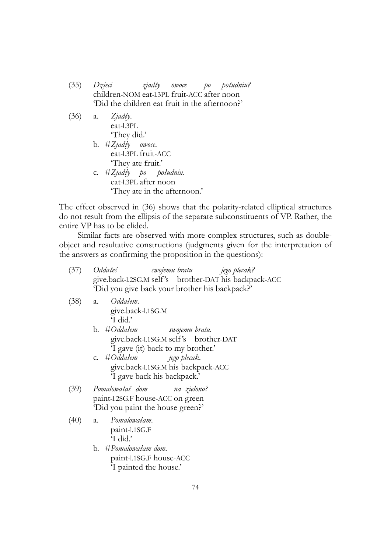- (35) *Dzieci* children-NOM eat-l.3PL fruit-ACC after noon *zjadły owoce po południu?* 'Did the children eat fruit in the afternoon?'
- (36) a. *Zjadły*. eat-l.3PL 'They did.' b. #*Zjadły owoce*. eat-l.3PL fruit-ACC 'They ate fruit.' c. #*Zjadły po* eat-l.3PL after noon *południu*. 'They ate in the afternoon.'

The effect observed in (36) shows that the polarity-related elliptical structures do not result from the ellipsis of the separate subconstituents of VP. Rather, the entire VP has to be elided.

Similar facts are observed with more complex structures, such as doubleobject and resultative constructions (judgments given for the interpretation of the answers as confirming the proposition in the questions):

| (37) | <i>Oddałeś</i><br>swojemu bratu<br>jego plecak?                                                         |
|------|---------------------------------------------------------------------------------------------------------|
|      | give.back-1.2SG.M self's brother-DAT his backpack-ACC<br>'Did you give back your brother his backpack?' |
| (38) | Oddałem.<br>a.<br>give.back-l.1SG.M<br>'I did.'                                                         |
|      | b. #Oddałem swojemu bratu.<br>give.back-l.1SG.M self's brother-DAT<br>I gave (it) back to my brother.'  |
|      | c. #Oddałem jego plecak.<br>give.back-1.1SG.M his backpack-ACC<br>'I gave back his backpack.'           |
| (39) | Pomalowałaś dom     na zielono?<br>paint-l.2SG.F house-ACC on green<br>'Did you paint the house green?' |
| (40) | Pomalowałam.<br>a.<br>paint-l.1SG.F<br>'I did.'                                                         |
|      | b. #Pomalowałam dom.<br>paint-l.1SG.F house-ACC                                                         |

'I painted the house.'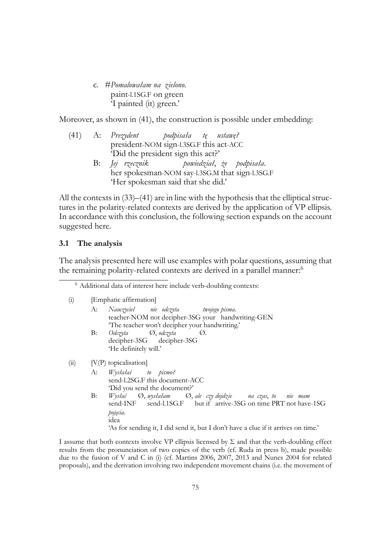c. #*Pomalowałam na zielono*. paint-l.1SG.F on green 'I painted (it) green.'

Moreover, as shown in (41), the construction is possible under embedding:

|  | $(41)$ A: Prezydent podpisała tę ustawę? |                                                 |  |                           |
|--|------------------------------------------|-------------------------------------------------|--|---------------------------|
|  |                                          | president-NOM sign-l.3SG.F this act-ACC         |  |                           |
|  |                                          | 'Did the president sign this act?'              |  |                           |
|  | B: <i>Jej rzecznik</i>                   |                                                 |  | powiedział, że podpisała. |
|  |                                          | her spokesman-NOM say-1.3SG.M that sign-1.3SG.F |  |                           |

'Her spokesman said that she did.'

All the contexts in (33)–(41) are in line with the hypothesis that the elliptical structures in the polarity-related contexts are derived by the application of VP ellipsis. In accordance with this conclusion, the following section expands on the account suggested here.

# **3.1 The analysis**

The analysis presented here will use examples with polar questions, assuming that the remaining polarity-related contexts are derived in a parallel manner:<sup>6</sup>

(i) [Emphatic affirmation]

|      |            | A: Nauczyciel nie odczyta twojego pisma.<br>teacher-NOM not decipher-3SG your handwriting-GEN |
|------|------------|-----------------------------------------------------------------------------------------------|
|      |            | 'The teacher won't decipher your handwriting.'                                                |
|      | <b>B</b> : | Odczyta – Ø, odczyta<br>$\omega$ .                                                            |
|      |            | decipher-3SG decipher-3SG                                                                     |
|      |            | 'He definitely will.'                                                                         |
| (ii) |            | $[V(P)$ topicalisation                                                                        |
|      |            | A: Wysłałaś to pismo?                                                                         |
|      |            | send-l.2SG.F this document-ACC                                                                |

'Did you send the document?' B: *Wysłać* send-INF Ø, *wysłałam* send-l.1SG.F but if arrive-3SG on time PRT not have-1SG Ø, *ale czy dojdzie na czas*, *to nie mam pojęcia*. idea

'As for sending it, I did send it, but I don't have a clue if it arrives on time.'

I assume that both contexts involve VP ellipsis licensed by Σ and that the verb-doubling effect results from the pronunciation of two copies of the verb (cf. Ruda in press b), made possible due to the fusion of V and C in (i) (cf. Martins 2006, 2007, 2013 and Nunes 2004 for related proposals), and the derivation involving two independent movement chains (i.e. the movement of

<sup>6</sup> Additional data of interest here include verb-doubling contexts: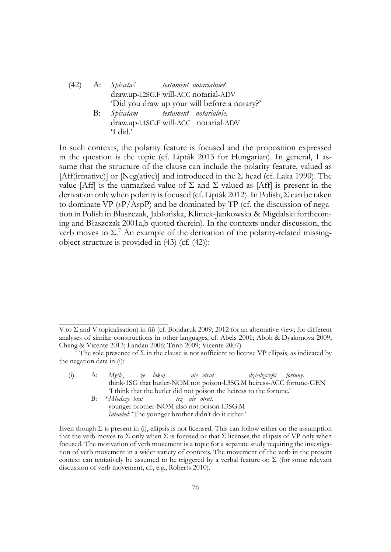|    | (42) A: Spisałaś testament notarialnie?      |
|----|----------------------------------------------|
|    | draw.up-1.2SG.F will-ACC notarial-ADV        |
|    | 'Did you draw up your will before a notary?' |
| B: | Spisałam <del>testament notarialnie</del> .  |
|    | draw.up-1.1SG.F will-ACC notarial-ADV        |
|    | T did.'                                      |

In such contexts, the polarity feature is focused and the proposition expressed in the question is the topic (cf. Lipták 2013 for Hungarian). In general, I assume that the structure of the clause can include the polarity feature, valued as [Aff(irmative)] or [Neg(ative)] and introduced in the  $\Sigma$  head (cf. Laka 1990). The value [Aff] is the unmarked value of  $\Sigma$  and  $\Sigma$  valued as [Aff] is present in the derivation only when polarity is focused (cf. Lipták 2012). In Polish, Σ can be taken to dominate VP (*v*P/AspP) and be dominated by TP (cf. the discussion of negation in Polish in Błaszczak, Jabłońska, Klimek-Jankowska & Migdalski forthcoming and Błaszczak 2001a,b quoted therein). In the contexts under discussion, the verb moves to  $\Sigma$ .<sup>7</sup> An example of the derivation of the polarity-related missingobject structure is provided in (43) (cf. (42)):

(i) A: *Myślę*, think-1SG that butler-NOM not poison-l.3SG.M heiress-ACC fortune-GEN *że lokaj nie otruł dziedziczki fortuny*. 'I think that the butler did not poison the heiress to the fortune.' B: \**Młodszy brat też nie otruł*.

V to Σ and V topicalisation) in (ii) (cf. Bondaruk 2009, 2012 for an alternative view; for different analyses of similar constructions in other languages, cf. Abels 2001; Aboh & Dyakonova 2009; Cheng & Vicente 2013; Landau 2006; Trinh 2009; Vicente 2007).

The sole presence of  $\Sigma$  in the clause is not sufficient to license VP ellipsis, as indicated by the negation data in (i):

younger brother-NOM also not poison-l.3SG.M *Intended:* 'The younger brother didn't do it either.'

Even though  $\Sigma$  is present in (i), ellipsis is not licensed. This can follow either on the assumption that the verb moves to  $\Sigma$  only when  $\Sigma$  is focused or that  $\Sigma$  licenses the ellipsis of VP only when focused. The motivation of verb movement is a topic for a separate study requiring the investigation of verb movement in a wider variety of contexts. The movement of the verb in the present context can tentatively be assumed to be triggered by a verbal feature on  $\Sigma$  (for some relevant discussion of verb movement, cf., e.g., Roberts 2010).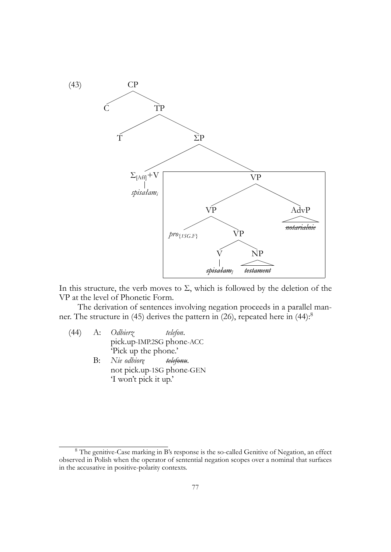

In this structure, the verb moves to  $\Sigma$ , which is followed by the deletion of the VP at the level of Phonetic Form.

The derivation of sentences involving negation proceeds in a parallel manner. The structure in (45) derives the pattern in (26), repeated here in (44):<sup>8</sup>

- (44) A: *Odbierz* pick.up-IMP.2SG phone-ACC *telefon*. 'Pick up the phone.'
	- B: *Nie odbiorę* not pick.up-1SG phone-GEN *telefonu*. 'I won't pick it up.'

<sup>&</sup>lt;sup>8</sup> The genitive-Case marking in B's response is the so-called Genitive of Negation, an effect observed in Polish when the operator of sentential negation scopes over a nominal that surfaces in the accusative in positive-polarity contexts.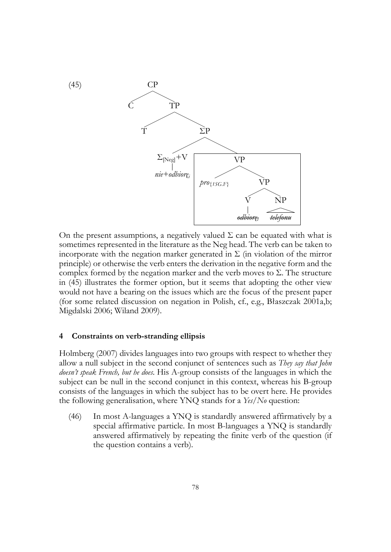

On the present assumptions, a negatively valued  $\Sigma$  can be equated with what is sometimes represented in the literature as the Neg head. The verb can be taken to incorporate with the negation marker generated in  $\Sigma$  (in violation of the mirror principle) or otherwise the verb enters the derivation in the negative form and the complex formed by the negation marker and the verb moves to Σ. The structure in (45) illustrates the former option, but it seems that adopting the other view would not have a bearing on the issues which are the focus of the present paper (for some related discussion on negation in Polish, cf., e.g., Błaszczak 2001a,b; Migdalski 2006; Wiland 2009).

#### **4 Constraints on verb-stranding ellipsis**

Holmberg (2007) divides languages into two groups with respect to whether they allow a null subject in the second conjunct of sentences such as *They say that John doesn't speak French, but he does*. His A-group consists of the languages in which the subject can be null in the second conjunct in this context, whereas his B-group consists of the languages in which the subject has to be overt here. He provides the following generalisation, where YNQ stands for a *Yes/No* question:

(46) In most A-languages a YNQ is standardly answered affirmatively by a special affirmative particle. In most B-languages a YNQ is standardly answered affirmatively by repeating the finite verb of the question (if the question contains a verb).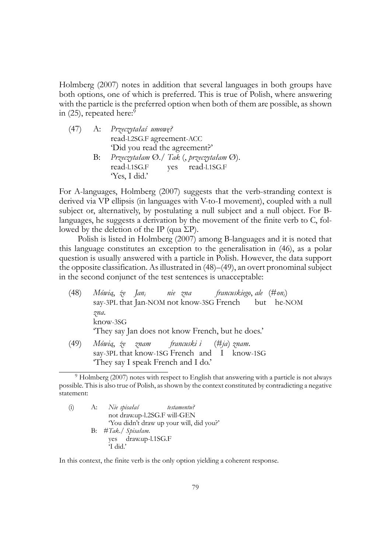Holmberg (2007) notes in addition that several languages in both groups have both options, one of which is preferred. This is true of Polish, where answering with the particle is the preferred option when both of them are possible, as shown in  $(25)$ , repeated here:<sup>9</sup>

|    | (47) A: Przeczytałaś umowę?                                    |
|----|----------------------------------------------------------------|
|    | read-l.2SG.F agreement-ACC                                     |
|    | 'Did you read the agreement?'                                  |
| B: | Przeczytałam $\emptyset$ ./ Tak (, przeczytałam $\emptyset$ ). |
|    | read-l.1SG.F<br>yes read-l.1SG.F                               |
|    | 'Yes, I did.'                                                  |
|    |                                                                |

For A-languages, Holmberg (2007) suggests that the verb-stranding context is derived via VP ellipsis (in languages with V-to-I movement), coupled with a null subject or, alternatively, by postulating a null subject and a null object. For Blanguages, he suggests a derivation by the movement of the finite verb to C, followed by the deletion of the IP (qua  $\Sigma P$ ).

Polish is listed in Holmberg (2007) among B-languages and it is noted that this language constitutes an exception to the generalisation in (46), as a polar question is usually answered with a particle in Polish. However, the data support the opposite classification. As illustrated in (48)–(49), an overt pronominal subject in the second conjunct of the test sentences is unacceptable:

(48) *Mówią*, *że Jan<sup>i</sup>* say-3PL that Jan-NOM not know-3SG French *nie zna francuskiego*, *ale* (#*oni*) but he-NOM *zna*. know-3SG 'They say Jan does not know French, but he does.' (49) *Mówią*, *że znam* say-3PL that know-1SG French and I know-1SG *francuski i* (#*ja*) *znam*. 'They say I speak French and I do.'

(i) A: *Nie spisałaś* not draw.up-l.2SG.F will-GEN *testamentu?* 'You didn't draw up your will, did you?' B: #*Tak*./ *Spisałam*. yes draw.up-l.1SG.F 'I did.'

In this context, the finite verb is the only option yielding a coherent response.

<sup>&</sup>lt;sup>9</sup> Holmberg (2007) notes with respect to English that answering with a particle is not always possible. This is also true of Polish, as shown by the context constituted by contradicting a negative statement: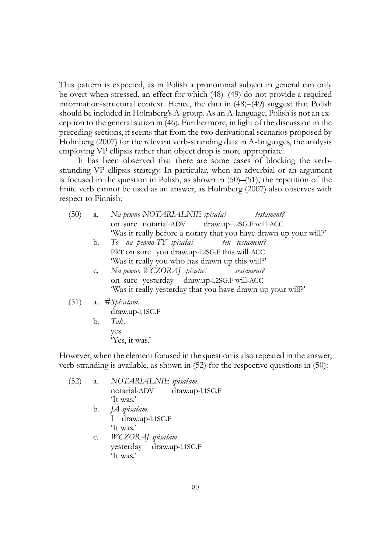This pattern is expected, as in Polish a pronominal subject in general can only be overt when stressed, an effect for which (48)–(49) do not provide a required information-structural context. Hence, the data in (48)–(49) suggest that Polish should be included in Holmberg's A-group. As an A-language, Polish is not an exception to the generalisation in (46). Furthermore, in light of the discussion in the preceding sections, it seems that from the two derivational scenarios proposed by Holmberg (2007) for the relevant verb-stranding data in A-languages, the analysis employing VP ellipsis rather than object drop is more appropriate.

It has been observed that there are some cases of blocking the verbstranding VP ellipsis strategy. In particular, when an adverbial or an argument is focused in the question in Polish, as shown in (50)–(51), the repetition of the finite verb cannot be used as an answer, as Holmberg (2007) also observes with respect to Finnish:

- $(50)$  a. on sure notarial-ADV *pewno NOTARIALNIE spisałaś* draw.up-l.2SG.F will-ACC *testament?* 'Was it really before a notary that you have drawn up your will?'
	- b. *To na pewno TY spisałaś* PRT on sure you draw.up-l.2SG.F this will-ACC *ten testament?* 'Was it really you who has drawn up this will?'
	- c. *Na pewno WCZORAJ spisałaś* on sure yesterday draw.up-l.2SG.F will-ACC *testament?* 'Was it really yesterday that you have drawn up your will?'
- (51) a. #*Spisałam*.

draw.up-l.1SG.F

b. *Tak*. yes 'Yes, it was.'

However, when the element focused in the question is also repeated in the answer, verb-stranding is available, as shown in (52) for the respective questions in (50):

(52) a. *NOTARIALNIE spisałam*. notarial-ADV draw.up-l.1SG.F 'It was.' b. *JA spisałam*. I draw.up-l.1SG.F 'It was.' c. *WCZORAJ spisałam*. yesterday draw.up-l.1SG.F 'It was.'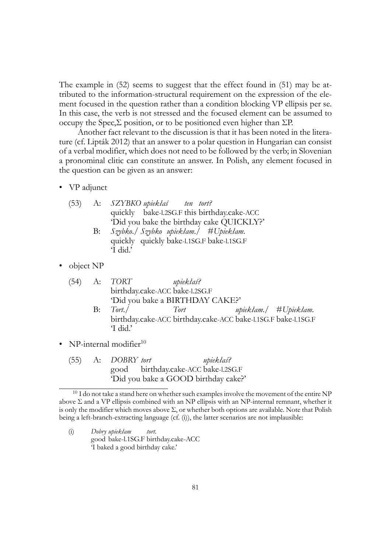The example in (52) seems to suggest that the effect found in (51) may be attributed to the information-structural requirement on the expression of the element focused in the question rather than a condition blocking VP ellipsis per se. In this case, the verb is not stressed and the focused element can be assumed to occupy the Spec,Σ position, or to be positioned even higher than ΣP.

Another fact relevant to the discussion is that it has been noted in the literature (cf. Lipták 2012) that an answer to a polar question in Hungarian can consist of a verbal modifier, which does not need to be followed by the verb; in Slovenian a pronominal clitic can constitute an answer. In Polish, any element focused in the question can be given as an answer:

• VP adjunct

| (53) | A: SZYBKO upiekłaś ten tort?                 |
|------|----------------------------------------------|
|      | quickly bake-1.2SG.F this birthday.cake-ACC  |
|      | 'Did you bake the birthday cake QUICKLY?'    |
|      | $\alpha$ if $\alpha$ if $\alpha$ if $\alpha$ |

- B: *Szybko*./ *Szybko upiekłam*./ #*Upiekłam*. quickly quickly bake-l.1SG.F bake-l.1SG.F 'I did.'
- object NP

|    | $(54)$ A: $TORT$ | upiekłaś?                                                     |                       |
|----|------------------|---------------------------------------------------------------|-----------------------|
|    |                  | birthday.cake-ACC bake-l.2SG.F                                |                       |
|    |                  | 'Did you bake a BIRTHDAY CAKE?'                               |                       |
| B: | Tort./           | Tort                                                          | upiekłam./ #Upiekłam. |
|    |                  | birthday.cake-ACC birthday.cake-ACC bake-1.1SG.F bake-1.1SG.F |                       |
|    | 'I did.'         |                                                               |                       |

- NP-internal modifier $10$ 
	- (55) A: *DOBRY tort* good birthday.cake-ACC bake-l.2SG.F *upiekłaś?* 'Did you bake a GOOD birthday cake?'

(i) *Dobry upiekłam* good bake-l.1SG.F birthday.cake-ACC *tort*. 'I baked a good birthday cake.'

 $10$  I do not take a stand here on whether such examples involve the movement of the entire NP above  $\Sigma$  and a VP ellipsis combined with an NP ellipsis with an NP-internal remnant, whether it is only the modifier which moves above  $\Sigma$ , or whether both options are available. Note that Polish being a left-branch-extracting language (cf. (i)), the latter scenarios are not implausible: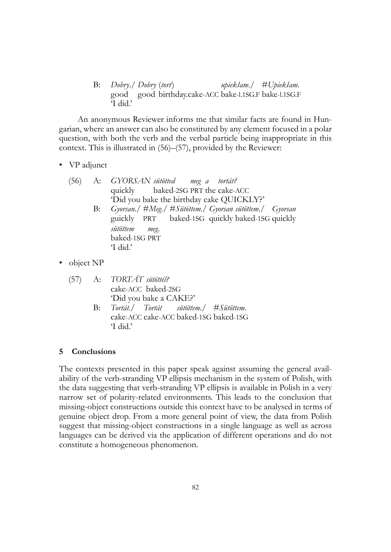B: *Dobry*./ *Dobry* (*tort*) good good birthday.cake-ACC bake-l.1SG.F bake-l.1SG.F *upiekłam*./ #*Upiekłam*. 'I did.'

An anonymous Reviewer informs me that similar facts are found in Hungarian, where an answer can also be constituted by any element focused in a polar question, with both the verb and the verbal particle being inappropriate in this context. This is illustrated in (56)–(57), provided by the Reviewer:

• VP adjunct

|  | (56) A: GYORSAN sütötted meg a tortát?                     |
|--|------------------------------------------------------------|
|  | quickly baked-2SG PRT the cake-ACC                         |
|  | 'Did you bake the birthday cake QUICKLY?'                  |
|  | B: Gyorsan./ #Meg./ #Sütöttem./ Gyorsan sütöttem./ Gyorsan |
|  | guickly PRT baked-1SG quickly baked-1SG quickly            |
|  | sütöttem meg.                                              |
|  | baked-1SG PRT                                              |
|  | 'I did.'                                                   |

• object NP

|  | $(57)$ A: TORTÁT sütöttél?               |
|--|------------------------------------------|
|  | cake-ACC baked-2SG                       |
|  | 'Did you bake a CAKE?'                   |
|  | B: Tortát./ Tortát sütöttem./ #Sütöttem. |
|  | cake-ACC cake-ACC baked-1SG baked-1SG    |
|  | $\overline{1}$ did.'                     |

## **5 Conclusions**

The contexts presented in this paper speak against assuming the general availability of the verb-stranding VP ellipsis mechanism in the system of Polish, with the data suggesting that verb-stranding VP ellipsis is available in Polish in a very narrow set of polarity-related environments. This leads to the conclusion that missing-object constructions outside this context have to be analysed in terms of genuine object drop. From a more general point of view, the data from Polish suggest that missing-object constructions in a single language as well as across languages can be derived via the application of different operations and do not constitute a homogeneous phenomenon.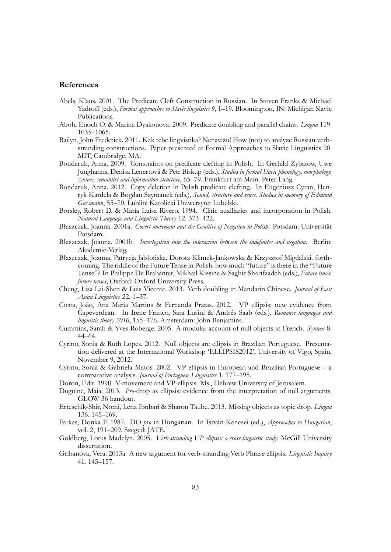## **References**

- Abels, Klaus. 2001. The Predicate Cleft Construction in Russian. In Steven Franks & Michael Yadroff (eds.), *Formal approaches to Slavic linguistics 9*, 1–19. Bloomington, IN: Michigan Slavic Publications.
- Aboh, Enoch O. & Marina Dyakonova. 2009. Predicate doubling and parallel chains. *Lingua* 119. 1035–1065.
- Bailyn, John Frederick. 2011. Kak tebe lingvistika? Nenavižu! How (not) to analyze Russian verbstranding constructions. Paper presented at Formal Approaches to Slavic Linguistics 20. MIT, Cambridge, MA.
- Bondaruk, Anna. 2009. Constraints on predicate clefting in Polish. In Gerhild Zybatow, Uwe Junghanns, Denisa Lenertová & Petr Biskup (eds.), *Studies in formal Slavic phonology, morphology, syntax, semantics and information structure*, 65–79. Frankfurt am Main: Peter Lang.
- Bondaruk, Anna. 2012. Copy deletion in Polish predicate clefting. In Eugeniusz Cyran, Henryk Kardela & Bogdan Szymanek (eds.), *Sound, structure and sense. Studies in memory of Edmund Gussmann*, 55–70. Lublin: Katolicki Uniwersytet Lubelski.
- Borsley, Robert D. & María Luisa Rivero. 1994. Clitic auxiliaries and incorporation in Polish. *Natural Language and Linguistic Theory* 12. 373–422.
- Błaszczak, Joanna. 2001a. *Covert movement and the Genitive of Negation in Polish*. Potsdam: Universität Potsdam.
- Błaszczak, Joanna. 2001b. *Investigation into the interaction between the indefinites and negation*. Berlin: Akademie-Verlag.
- Błaszczak, Joanna, Patrycja Jabłońska, Dorota Klimek-Jankowska & Krzysztof Migdalski. forthcoming. The riddle of the Future Tense in Polish: how much "future" is there in the "Future Tense"? In Philippe De Brabanter, Mikhail Kissine & Saghie Sharifzadeh (eds.), *Future times, future tenses*, Oxford: Oxford University Press.
- Cheng, Lisa Lai-Shen & Luis Vicente. 2013. Verb doubling in Mandarin Chinese. *Journal of East Asian Linguistics* 22. 1–37.
- Costa, João, Ana Maria Martins & Fernanda Pratas. 2012. VP ellipsis: new evidence from Capeverdean. In Irene Franco, Sara Lusini & Andrés Saab (eds.), *Romance languages and linguistic theory 2010*, 155–176. Amsterdam: John Benjamins.
- Cummins, Sarah & Yves Roberge. 2005. A modular account of null objects in French. *Syntax* 8. 44–64.
- Cyrino, Sonia & Ruth Lopes. 2012. Null objects are ellipsis in Brazilian Portuguese. Presentation delivered at the International Workshop 'ELLIPSIS2012', University of Vigo, Spain, November 9, 2012.
- Cyrino, Sonia & Gabriela Matos. 2002. VP ellipsis in European and Brazilian Portuguese a comparative analysis. *Journal of Portuguese Linguistics* 1. 177–195.
- Doron, Edit. 1990. V-movement and VP-ellipsis. Ms., Hebrew University of Jerusalem.
- Duguine, Maia. 2013. *Pro*-drop as ellipsis: evidence from the interpretation of null arguments. GLOW 36 handout.
- Erteschik-Shir, Nomi, Lena Ibnbari & Sharon Taube. 2013. Missing objects as topic drop. *Lingua* 136. 145–169.
- Farkas, Donka F. 1987. DO *pro* in Hungarian. In István Kenesei (ed.), *Approaches to Hungarian*, vol. 2, 191–209. Szeged: JATE.
- Goldberg, Lotus Madelyn. 2005. *Verb-stranding VP ellipsis: a cross-linguistic study*: McGill University dissertation.
- Gribanova, Vera. 2013a. A new argument for verb-stranding Verb Phrase ellipsis. *Linguistic Inquiry* 41. 145–157.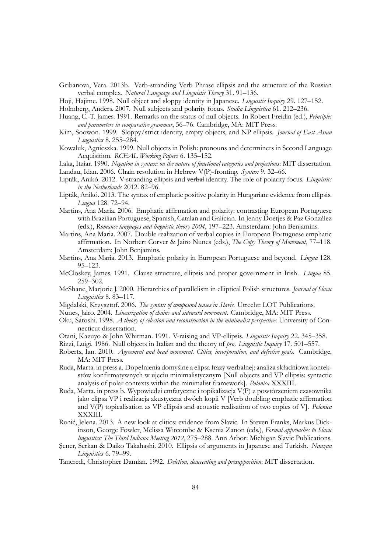Gribanova, Vera. 2013b. Verb-stranding Verb Phrase ellipsis and the structure of the Russian verbal complex. *Natural Language and Linguistic Theory* 31. 91–136.

Hoji, Hajime. 1998. Null object and sloppy identity in Japanese. *Linguistic Inquiry* 29. 127–152.

Holmberg, Anders. 2007. Null subjects and polarity focus. *Studia Linguistica* 61. 212–236.

- Huang, C.-T. James. 1991. Remarks on the status of null objects. In Robert Freidin (ed.), *Principles and parameters in comparative grammar*, 56–76. Cambridge, MA: MIT Press.
- Kim, Soowon. 1999. Sloppy/strict identity, empty objects, and NP ellipsis. *Journal of East Asian Linguistics* 8. 255–284.
- Kowaluk, Agnieszka. 1999. Null objects in Polish: pronouns and determiners in Second Language Acquisition. *RCEAL Working Papers* 6. 135–152.

Laka, Itziar. 1990. *Negation in syntax: on the nature of functional categories and projections*: MIT dissertation. Landau, Idan. 2006. Chain resolution in Hebrew V(P)-fronting. *Syntax* 9. 32–66.

- Lipták, Anikó. 2012. V-stranding ellipsis and verbal identity. The role of polarity focus. *Linguistics in the Netherlands* 2012. 82–96.
- Lipták, Anikó. 2013. The syntax of emphatic positive polarity in Hungarian: evidence from ellipsis. *Lingua* 128. 72–94.
- Martins, Ana Maria. 2006. Emphatic affirmation and polarity: contrasting European Portuguese with Brazilian Portuguese, Spanish, Catalan and Galician. In Jenny Doetjes & Paz González (eds.), *Romance languages and linguistic theory 2004*, 197–223. Amsterdam: John Benjamins.
- Martins, Ana Maria. 2007. Double realization of verbal copies in European Portuguese emphatic affirmation. In Norbert Corver & Jairo Nunes (eds.), *The Copy Theory of Movement*, 77–118. Amsterdam: John Benjamins.
- Martins, Ana Maria. 2013. Emphatic polarity in European Portuguese and beyond. *Lingua* 128. 95–123.
- McCloskey, James. 1991. Clause structure, ellipsis and proper government in Irish. *Lingua* 85. 259–302.
- McShane, Marjorie J. 2000. Hierarchies of parallelism in elliptical Polish structures. *Journal of Slavic Linguistics* 8. 83–117.
- Migdalski, Krzysztof. 2006. *The syntax of compound tenses in Slavic*. Utrecht: LOT Publications.

Nunes, Jairo. 2004. *Linearization of chains and sideward movement*. Cambridge, MA: MIT Press.

- Oku, Satoshi. 1998. *A theory of selection and reconstruction in the minimalist perspective*: University of Connecticut dissertation.
- Otani, Kazuyo & John Whitman. 1991. V-raising and VP-ellipsis. *Linguistic Inquiry* 22. 345–358.
- Rizzi, Luigi. 1986. Null objects in Italian and the theory of *pro*. *Linguistic Inquiry* 17. 501–557.
- Roberts, Ian. 2010. *Agreement and head movement. Clitics, incorporation, and defective goals*. Cambridge, MA: MIT Press.
- Ruda, Marta. in press a. Dopełnienia domyślne a elipsa frazy werbalnej: analiza składniowa kontekstów konfirmatywnych w ujęciu minimalistycznym [Null objects and VP ellipsis: syntactic analysis of polar contexts within the minimalist framework]. *Polonica* XXXIII.
- Ruda, Marta. in press b. Wypowiedzi emfatyczne i topikalizacja V(P) z powtórzeniem czasownika jako elipsa VP i realizacja akustyczna dwóch kopii V [Verb doubling emphatic affirmation and V(P) topicalisation as VP ellipsis and acoustic realisation of two copies of V]. *Polonica* XXXIII.
- Runić, Jelena. 2013. A new look at clitics: evidence from Slavic. In Steven Franks, Markus Dickinson, George Fowler, Melissa Witcombe & Ksenia Zanon (eds.), *Formal approaches to Slavic linguistics: The Third Indiana Meeting 2012*, 275–288. Ann Arbor: Michigan Slavic Publications.
- Şener, Serkan & Daiko Takahashi. 2010. Ellipsis of arguments in Japanese and Turkish. *Nanzan Linguistics* 6. 79–99.

Tancredi, Christopher Damian. 1992. *Deletion, deaccenting and presupposition*: MIT dissertation.